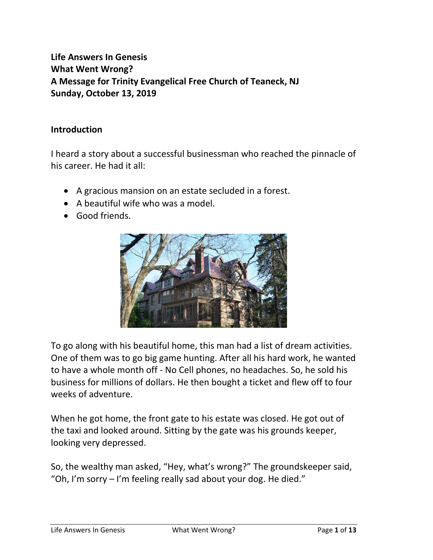# **Life Answers In Genesis What Went Wrong? A Message for Trinity Evangelical Free Church of Teaneck, NJ Sunday, October 13, 2019**

#### **Introduction**

I heard a story about a successful businessman who reached the pinnacle of his career. He had it all:

- A gracious mansion on an estate secluded in a forest.
- A beautiful wife who was a model.
- Good friends.



To go along with his beautiful home, this man had a list of dream activities. One of them was to go big game hunting. After all his hard work, he wanted to have a whole month off - No Cell phones, no headaches. So, he sold his business for millions of dollars. He then bought a ticket and flew off to four weeks of adventure.

When he got home, the front gate to his estate was closed. He got out of the taxi and looked around. Sitting by the gate was his grounds keeper, looking very depressed.

So, the wealthy man asked, "Hey, what's wrong?" The groundskeeper said, "Oh, I'm sorry – I'm feeling really sad about your dog. He died."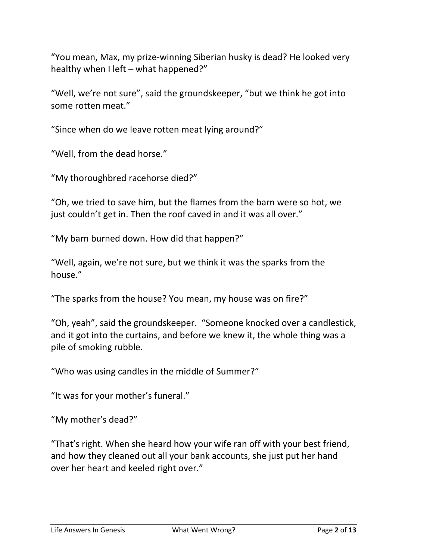"You mean, Max, my prize-winning Siberian husky is dead? He looked very healthy when I left – what happened?"

"Well, we're not sure", said the groundskeeper, "but we think he got into some rotten meat."

"Since when do we leave rotten meat lying around?"

"Well, from the dead horse."

"My thoroughbred racehorse died?"

"Oh, we tried to save him, but the flames from the barn were so hot, we just couldn't get in. Then the roof caved in and it was all over."

"My barn burned down. How did that happen?"

"Well, again, we're not sure, but we think it was the sparks from the house."

"The sparks from the house? You mean, my house was on fire?"

"Oh, yeah", said the groundskeeper. "Someone knocked over a candlestick, and it got into the curtains, and before we knew it, the whole thing was a pile of smoking rubble.

"Who was using candles in the middle of Summer?"

"It was for your mother's funeral."

"My mother's dead?"

"That's right. When she heard how your wife ran off with your best friend, and how they cleaned out all your bank accounts, she just put her hand over her heart and keeled right over."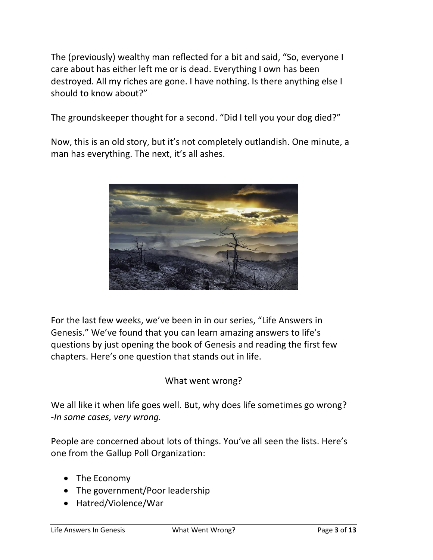The (previously) wealthy man reflected for a bit and said, "So, everyone I care about has either left me or is dead. Everything I own has been destroyed. All my riches are gone. I have nothing. Is there anything else I should to know about?"

The groundskeeper thought for a second. "Did I tell you your dog died?"

Now, this is an old story, but it's not completely outlandish. One minute, a man has everything. The next, it's all ashes.



For the last few weeks, we've been in in our series, "Life Answers in Genesis." We've found that you can learn amazing answers to life's questions by just opening the book of Genesis and reading the first few chapters. Here's one question that stands out in life.

What went wrong?

We all like it when life goes well. But, why does life sometimes go wrong? -*In some cases, very wrong.*

People are concerned about lots of things. You've all seen the lists. Here's one from the Gallup Poll Organization:

- The Economy
- The government/Poor leadership
- Hatred/Violence/War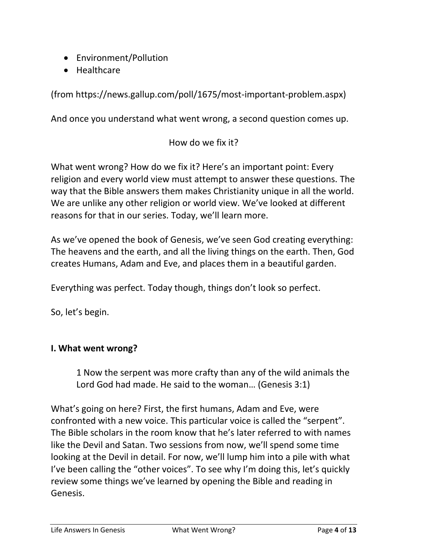- Environment/Pollution
- Healthcare

(from https://news.gallup.com/poll/1675/most-important-problem.aspx)

And once you understand what went wrong, a second question comes up.

How do we fix it?

What went wrong? How do we fix it? Here's an important point: Every religion and every world view must attempt to answer these questions. The way that the Bible answers them makes Christianity unique in all the world. We are unlike any other religion or world view. We've looked at different reasons for that in our series. Today, we'll learn more.

As we've opened the book of Genesis, we've seen God creating everything: The heavens and the earth, and all the living things on the earth. Then, God creates Humans, Adam and Eve, and places them in a beautiful garden.

Everything was perfect. Today though, things don't look so perfect.

So, let's begin.

## **I. What went wrong?**

1 Now the serpent was more crafty than any of the wild animals the Lord God had made. He said to the woman… (Genesis 3:1)

What's going on here? First, the first humans, Adam and Eve, were confronted with a new voice. This particular voice is called the "serpent". The Bible scholars in the room know that he's later referred to with names like the Devil and Satan. Two sessions from now, we'll spend some time looking at the Devil in detail. For now, we'll lump him into a pile with what I've been calling the "other voices". To see why I'm doing this, let's quickly review some things we've learned by opening the Bible and reading in Genesis.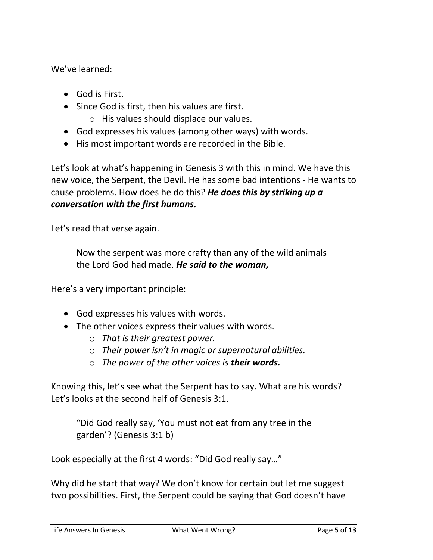We've learned:

- God is First.
- Since God is first, then his values are first.
	- o His values should displace our values.
- God expresses his values (among other ways) with words.
- His most important words are recorded in the Bible.

Let's look at what's happening in Genesis 3 with this in mind. We have this new voice, the Serpent, the Devil. He has some bad intentions - He wants to cause problems. How does he do this? *He does this by striking up a conversation with the first humans.*

Let's read that verse again.

Now the serpent was more crafty than any of the wild animals the Lord God had made. *He said to the woman,*

Here's a very important principle:

- God expresses his values with words.
- The other voices express their values with words.
	- o *That is their greatest power.*
	- o *Their power isn't in magic or supernatural abilities.*
	- o *The power of the other voices is their words.*

Knowing this, let's see what the Serpent has to say. What are his words? Let's looks at the second half of Genesis 3:1.

"Did God really say, 'You must not eat from any tree in the garden'? (Genesis 3:1 b)

Look especially at the first 4 words: "Did God really say…"

Why did he start that way? We don't know for certain but let me suggest two possibilities. First, the Serpent could be saying that God doesn't have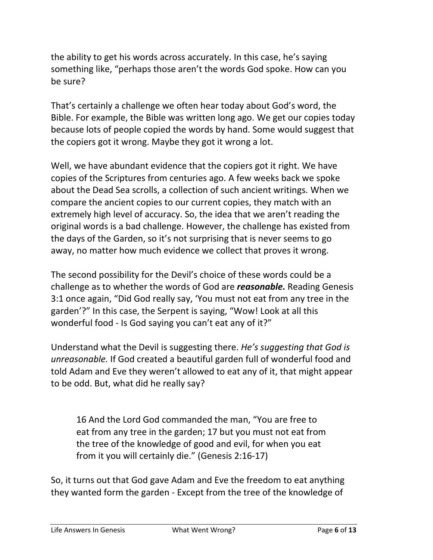the ability to get his words across accurately. In this case, he's saying something like, "perhaps those aren't the words God spoke. How can you be sure?

That's certainly a challenge we often hear today about God's word, the Bible. For example, the Bible was written long ago. We get our copies today because lots of people copied the words by hand. Some would suggest that the copiers got it wrong. Maybe they got it wrong a lot.

Well, we have abundant evidence that the copiers got it right. We have copies of the Scriptures from centuries ago. A few weeks back we spoke about the Dead Sea scrolls, a collection of such ancient writings. When we compare the ancient copies to our current copies, they match with an extremely high level of accuracy. So, the idea that we aren't reading the original words is a bad challenge. However, the challenge has existed from the days of the Garden, so it's not surprising that is never seems to go away, no matter how much evidence we collect that proves it wrong.

The second possibility for the Devil's choice of these words could be a challenge as to whether the words of God are *reasonable.* Reading Genesis 3:1 once again, "Did God really say, 'You must not eat from any tree in the garden'?" In this case, the Serpent is saying, "Wow! Look at all this wonderful food - Is God saying you can't eat any of it?"

Understand what the Devil is suggesting there. *He's suggesting that God is unreasonable.* If God created a beautiful garden full of wonderful food and told Adam and Eve they weren't allowed to eat any of it, that might appear to be odd. But, what did he really say?

16 And the Lord God commanded the man, "You are free to eat from any tree in the garden; 17 but you must not eat from the tree of the knowledge of good and evil, for when you eat from it you will certainly die." (Genesis 2:16-17)

So, it turns out that God gave Adam and Eve the freedom to eat anything they wanted form the garden - Except from the tree of the knowledge of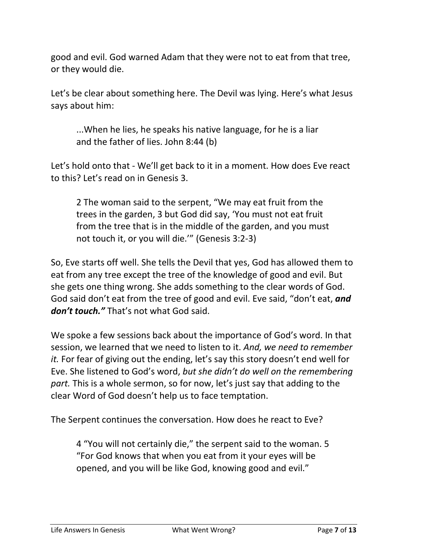good and evil. God warned Adam that they were not to eat from that tree, or they would die.

Let's be clear about something here. The Devil was lying. Here's what Jesus says about him:

...When he lies, he speaks his native language, for he is a liar and the father of lies. John 8:44 (b)

Let's hold onto that - We'll get back to it in a moment. How does Eve react to this? Let's read on in Genesis 3.

2 The woman said to the serpent, "We may eat fruit from the trees in the garden, 3 but God did say, 'You must not eat fruit from the tree that is in the middle of the garden, and you must not touch it, or you will die.'" (Genesis 3:2-3)

So, Eve starts off well. She tells the Devil that yes, God has allowed them to eat from any tree except the tree of the knowledge of good and evil. But she gets one thing wrong. She adds something to the clear words of God. God said don't eat from the tree of good and evil. Eve said, "don't eat, *and don't touch."* That's not what God said.

We spoke a few sessions back about the importance of God's word. In that session, we learned that we need to listen to it. *And, we need to remember it.* For fear of giving out the ending, let's say this story doesn't end well for Eve. She listened to God's word, *but she didn't do well on the remembering part.* This is a whole sermon, so for now, let's just say that adding to the clear Word of God doesn't help us to face temptation.

The Serpent continues the conversation. How does he react to Eve?

4 "You will not certainly die," the serpent said to the woman. 5 "For God knows that when you eat from it your eyes will be opened, and you will be like God, knowing good and evil."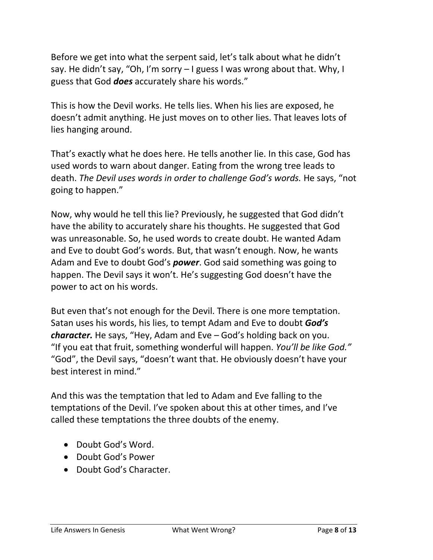Before we get into what the serpent said, let's talk about what he didn't say. He didn't say, "Oh, I'm sorry – I guess I was wrong about that. Why, I guess that God *does* accurately share his words."

This is how the Devil works. He tells lies. When his lies are exposed, he doesn't admit anything. He just moves on to other lies. That leaves lots of lies hanging around.

That's exactly what he does here. He tells another lie. In this case, God has used words to warn about danger. Eating from the wrong tree leads to death. *The Devil uses words in order to challenge God's words.* He says, "not going to happen."

Now, why would he tell this lie? Previously, he suggested that God didn't have the ability to accurately share his thoughts. He suggested that God was unreasonable. So, he used words to create doubt. He wanted Adam and Eve to doubt God's words. But, that wasn't enough. Now, he wants Adam and Eve to doubt God's *power*. God said something was going to happen. The Devil says it won't. He's suggesting God doesn't have the power to act on his words.

But even that's not enough for the Devil. There is one more temptation. Satan uses his words, his lies, to tempt Adam and Eve to doubt *God's character.* He says, "Hey, Adam and Eve – God's holding back on you. "If you eat that fruit, something wonderful will happen. *You'll be like God."* "God", the Devil says, "doesn't want that. He obviously doesn't have your best interest in mind."

And this was the temptation that led to Adam and Eve falling to the temptations of the Devil. I've spoken about this at other times, and I've called these temptations the three doubts of the enemy.

- Doubt God's Word.
- Doubt God's Power
- Doubt God's Character.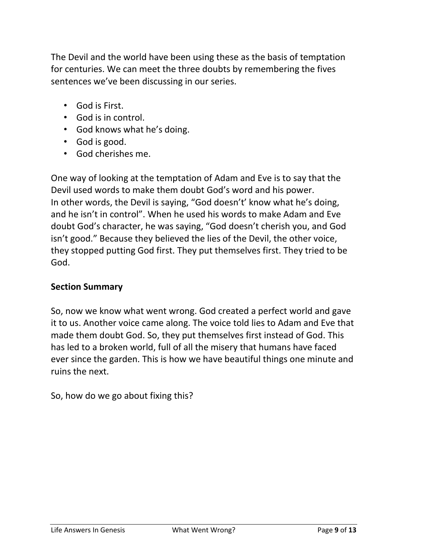The Devil and the world have been using these as the basis of temptation for centuries. We can meet the three doubts by remembering the fives sentences we've been discussing in our series.

- God is First.
- God is in control.
- God knows what he's doing.
- God is good.
- God cherishes me.

One way of looking at the temptation of Adam and Eve is to say that the Devil used words to make them doubt God's word and his power. In other words, the Devil is saying, "God doesn't' know what he's doing, and he isn't in control". When he used his words to make Adam and Eve doubt God's character, he was saying, "God doesn't cherish you, and God isn't good." Because they believed the lies of the Devil, the other voice, they stopped putting God first. They put themselves first. They tried to be God.

#### **Section Summary**

So, now we know what went wrong. God created a perfect world and gave it to us. Another voice came along. The voice told lies to Adam and Eve that made them doubt God. So, they put themselves first instead of God. This has led to a broken world, full of all the misery that humans have faced ever since the garden. This is how we have beautiful things one minute and ruins the next.

So, how do we go about fixing this?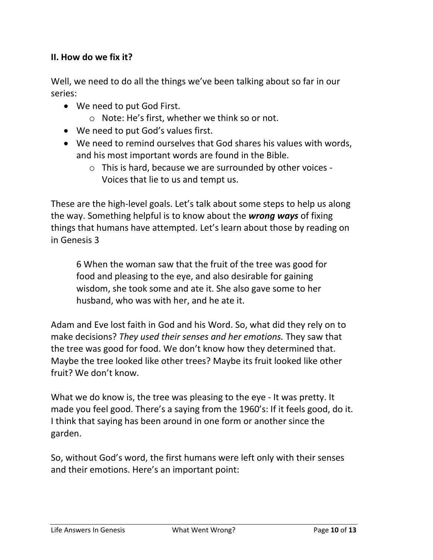## **II. How do we fix it?**

Well, we need to do all the things we've been talking about so far in our series:

- We need to put God First.
	- o Note: He's first, whether we think so or not.
- We need to put God's values first.
- We need to remind ourselves that God shares his values with words, and his most important words are found in the Bible.
	- o This is hard, because we are surrounded by other voices Voices that lie to us and tempt us.

These are the high-level goals. Let's talk about some steps to help us along the way. Something helpful is to know about the *wrong ways* of fixing things that humans have attempted. Let's learn about those by reading on in Genesis 3

6 When the woman saw that the fruit of the tree was good for food and pleasing to the eye, and also desirable for gaining wisdom, she took some and ate it. She also gave some to her husband, who was with her, and he ate it.

Adam and Eve lost faith in God and his Word. So, what did they rely on to make decisions? *They used their senses and her emotions.* They saw that the tree was good for food. We don't know how they determined that. Maybe the tree looked like other trees? Maybe its fruit looked like other fruit? We don't know.

What we do know is, the tree was pleasing to the eye - It was pretty. It made you feel good. There's a saying from the 1960's: If it feels good, do it. I think that saying has been around in one form or another since the garden.

So, without God's word, the first humans were left only with their senses and their emotions. Here's an important point: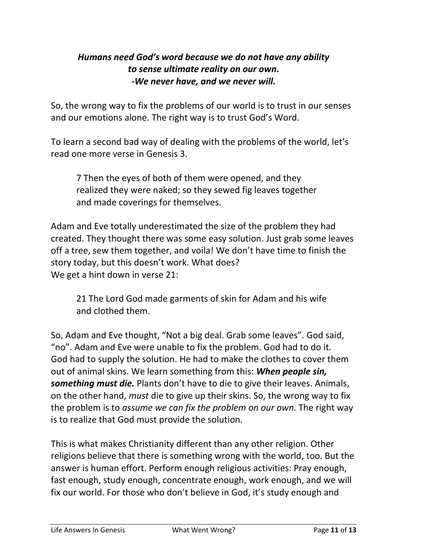## *Humans need God's word because we do not have any ability to sense ultimate reality on our own. -We never have, and we never will.*

So, the wrong way to fix the problems of our world is to trust in our senses and our emotions alone. The right way is to trust God's Word.

To learn a second bad way of dealing with the problems of the world, let's read one more verse in Genesis 3.

7 Then the eyes of both of them were opened, and they realized they were naked; so they sewed fig leaves together and made coverings for themselves.

Adam and Eve totally underestimated the size of the problem they had created. They thought there was some easy solution. Just grab some leaves off a tree, sew them together, and voila! We don't have time to finish the story today, but this doesn't work. What does? We get a hint down in verse 21:

21 The Lord God made garments of skin for Adam and his wife and clothed them.

So, Adam and Eve thought, "Not a big deal. Grab some leaves". God said, "no". Adam and Eve were unable to fix the problem. God had to do it. God had to supply the solution. He had to make the clothes to cover them out of animal skins. We learn something from this: *When people sin, something must die.* Plants don't have to die to give their leaves. Animals, on the other hand, *must* die to give up their skins. So, the wrong way to fix the problem is to *assume we can fix the problem on our own*. The right way is to realize that God must provide the solution.

This is what makes Christianity different than any other religion. Other religions believe that there is something wrong with the world, too. But the answer is human effort. Perform enough religious activities: Pray enough, fast enough, study enough, concentrate enough, work enough, and we will fix our world. For those who don't believe in God, it's study enough and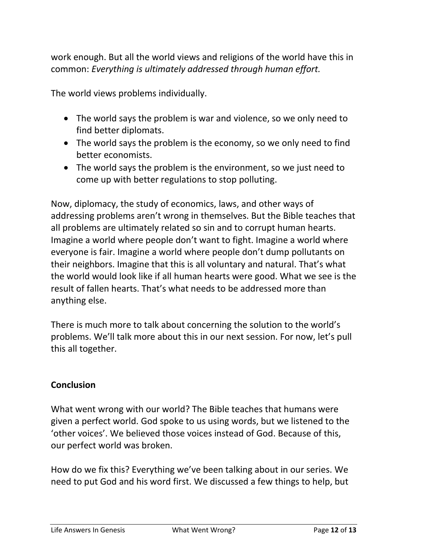work enough. But all the world views and religions of the world have this in common: *Everything is ultimately addressed through human effort.*

The world views problems individually.

- The world says the problem is war and violence, so we only need to find better diplomats.
- The world says the problem is the economy, so we only need to find better economists.
- The world says the problem is the environment, so we just need to come up with better regulations to stop polluting.

Now, diplomacy, the study of economics, laws, and other ways of addressing problems aren't wrong in themselves. But the Bible teaches that all problems are ultimately related so sin and to corrupt human hearts. Imagine a world where people don't want to fight. Imagine a world where everyone is fair. Imagine a world where people don't dump pollutants on their neighbors. Imagine that this is all voluntary and natural. That's what the world would look like if all human hearts were good. What we see is the result of fallen hearts. That's what needs to be addressed more than anything else.

There is much more to talk about concerning the solution to the world's problems. We'll talk more about this in our next session. For now, let's pull this all together.

## **Conclusion**

What went wrong with our world? The Bible teaches that humans were given a perfect world. God spoke to us using words, but we listened to the 'other voices'. We believed those voices instead of God. Because of this, our perfect world was broken.

How do we fix this? Everything we've been talking about in our series. We need to put God and his word first. We discussed a few things to help, but